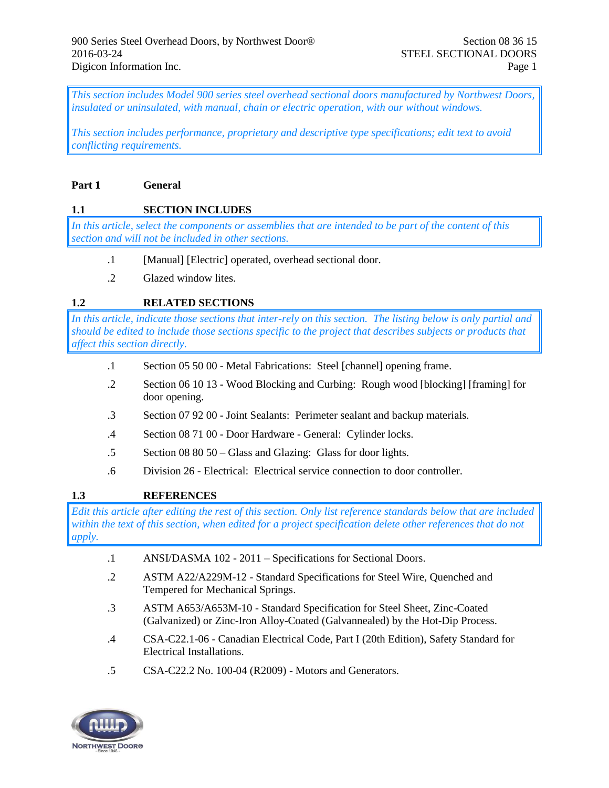*This section includes Model 900 series steel overhead sectional doors manufactured by Northwest Doors, insulated or uninsulated, with manual, chain or electric operation, with our without windows.* 

*This section includes performance, proprietary and descriptive type specifications; edit text to avoid conflicting requirements.* 

#### **Part 1 General**

## **1.1 SECTION INCLUDES**

*In this article, select the components or assemblies that are intended to be part of the content of this section and will not be included in other sections.*

- .1 [Manual] [Electric] operated, overhead sectional door.
- .2 Glazed window lites.

## **1.2 RELATED SECTIONS**

*In this article, indicate those sections that inter-rely on this section. The listing below is only partial and should be edited to include those sections specific to the project that describes subjects or products that affect this section directly.*

- .1 Section 05 50 00 Metal Fabrications: Steel [channel] opening frame.
- .2 Section 06 10 13 Wood Blocking and Curbing: Rough wood [blocking] [framing] for door opening.
- .3 Section 07 92 00 Joint Sealants: Perimeter sealant and backup materials.
- .4 Section 08 71 00 Door Hardware General: Cylinder locks.
- .5 Section 08 80 50 Glass and Glazing: Glass for door lights.
- .6 Division 26 Electrical: Electrical service connection to door controller.

## **1.3 REFERENCES**

*Edit this article after editing the rest of this section. Only list reference standards below that are included within the text of this section, when edited for a project specification delete other references that do not apply.*

- .1 ANSI/DASMA 102 2011 Specifications for Sectional Doors.
- .2 ASTM A22/A229M-12 Standard Specifications for Steel Wire, Quenched and Tempered for Mechanical Springs.
- .3 ASTM A653/A653M-10 Standard Specification for Steel Sheet, Zinc-Coated (Galvanized) or Zinc-Iron Alloy-Coated (Galvannealed) by the Hot-Dip Process.
- .4 CSA-C22.1-06 Canadian Electrical Code, Part I (20th Edition), Safety Standard for Electrical Installations.
- .5 CSA-C22.2 No. 100-04 (R2009) Motors and Generators.

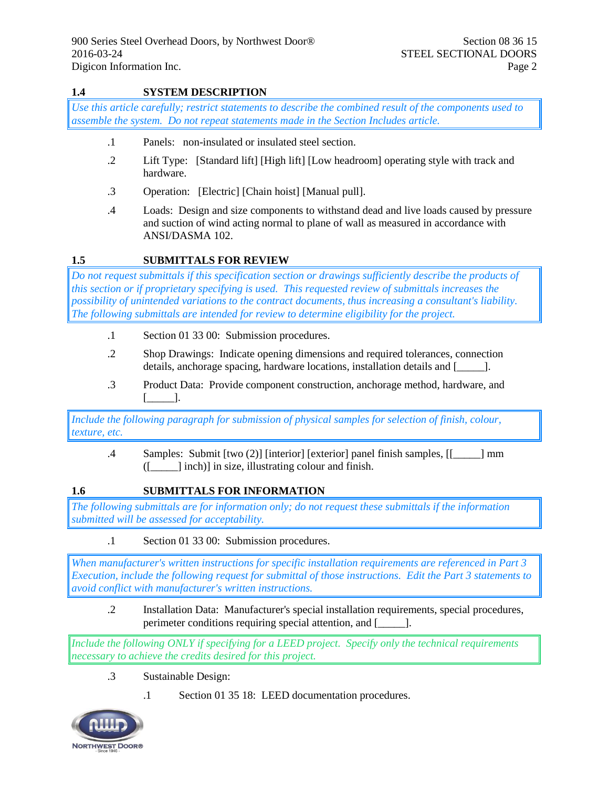## **1.4 SYSTEM DESCRIPTION**

*Use this article carefully; restrict statements to describe the combined result of the components used to assemble the system. Do not repeat statements made in the Section Includes article.*

- .1 Panels: non-insulated or insulated steel section.
- .2 Lift Type: [Standard lift] [High lift] [Low headroom] operating style with track and hardware.
- .3 Operation: [Electric] [Chain hoist] [Manual pull].
- .4 Loads: Design and size components to withstand dead and live loads caused by pressure and suction of wind acting normal to plane of wall as measured in accordance with ANSI/DASMA 102.

## **1.5 SUBMITTALS FOR REVIEW**

*Do not request submittals if this specification section or drawings sufficiently describe the products of this section or if proprietary specifying is used. This requested review of submittals increases the possibility of unintended variations to the contract documents, thus increasing a consultant's liability. The following submittals are intended for review to determine eligibility for the project.*

- .1 Section 01 33 00: Submission procedures.
- .2 Shop Drawings: Indicate opening dimensions and required tolerances, connection details, anchorage spacing, hardware locations, installation details and [\_\_\_\_\_].
- .3 Product Data: Provide component construction, anchorage method, hardware, and [\_\_\_\_\_].

*Include the following paragraph for submission of physical samples for selection of finish, colour, texture, etc.*

.4 Samples: Submit [two (2)] [interior] [exterior] panel finish samples, [[\_\_\_\_\_] mm  $([$   $]$  inch)] in size, illustrating colour and finish.

#### **1.6 SUBMITTALS FOR INFORMATION**

*The following submittals are for information only; do not request these submittals if the information submitted will be assessed for acceptability.*

.1 Section 01 33 00: Submission procedures.

*When manufacturer's written instructions for specific installation requirements are referenced in Part 3 Execution, include the following request for submittal of those instructions. Edit the Part 3 statements to avoid conflict with manufacturer's written instructions.*

.2 Installation Data: Manufacturer's special installation requirements, special procedures, perimeter conditions requiring special attention, and [\_\_\_\_\_\_].

*Include the following ONLY if specifying for a LEED project. Specify only the technical requirements necessary to achieve the credits desired for this project.*

- .3 Sustainable Design:
	- .1 Section 01 35 18: LEED documentation procedures.

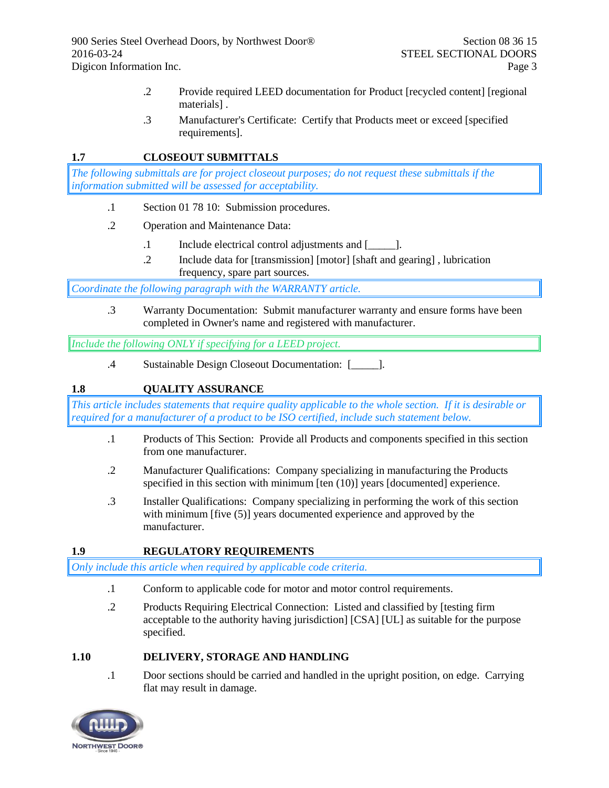- .2 Provide required LEED documentation for Product [recycled content] [regional materials] .
- .3 Manufacturer's Certificate: Certify that Products meet or exceed [specified requirements].

## **1.7 CLOSEOUT SUBMITTALS**

*The following submittals are for project closeout purposes; do not request these submittals if the information submitted will be assessed for acceptability.*

- .1 Section 01 78 10: Submission procedures.
- .2 Operation and Maintenance Data:
	- .1 Include electrical control adjustments and [\_\_\_\_\_].
	- .2 Include data for [transmission] [motor] [shaft and gearing] , lubrication frequency, spare part sources.

*Coordinate the following paragraph with the WARRANTY article.*

.3 Warranty Documentation: Submit manufacturer warranty and ensure forms have been completed in Owner's name and registered with manufacturer.

*Include the following ONLY if specifying for a LEED project.*

.4 Sustainable Design Closeout Documentation: [\_\_\_\_\_].

# **1.8 QUALITY ASSURANCE**

*This article includes statements that require quality applicable to the whole section. If it is desirable or required for a manufacturer of a product to be ISO certified, include such statement below.*

- .1 Products of This Section: Provide all Products and components specified in this section from one manufacturer.
- .2 Manufacturer Qualifications: Company specializing in manufacturing the Products specified in this section with minimum [ten (10)] years [documented] experience.
- .3 Installer Qualifications: Company specializing in performing the work of this section with minimum [five (5)] years documented experience and approved by the manufacturer.

## **1.9 REGULATORY REQUIREMENTS**

*Only include this article when required by applicable code criteria.*

- .1 Conform to applicable code for motor and motor control requirements.
- .2 Products Requiring Electrical Connection: Listed and classified by [testing firm acceptable to the authority having jurisdiction] [CSA] [UL] as suitable for the purpose specified.

## **1.10 DELIVERY, STORAGE AND HANDLING**

.1 Door sections should be carried and handled in the upright position, on edge. Carrying flat may result in damage.

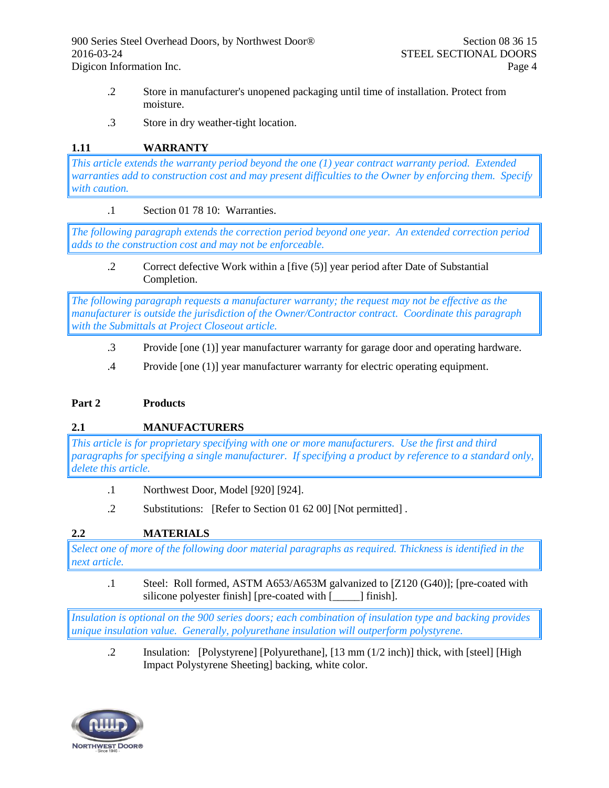- .2 Store in manufacturer's unopened packaging until time of installation. Protect from moisture.
- .3 Store in dry weather-tight location.

## **1.11 WARRANTY**

*This article extends the warranty period beyond the one (1) year contract warranty period. Extended warranties add to construction cost and may present difficulties to the Owner by enforcing them. Specify with caution.*

## .1 Section 01 78 10: Warranties.

*The following paragraph extends the correction period beyond one year. An extended correction period adds to the construction cost and may not be enforceable.*

.2 Correct defective Work within a [five (5)] year period after Date of Substantial Completion.

*The following paragraph requests a manufacturer warranty; the request may not be effective as the manufacturer is outside the jurisdiction of the Owner/Contractor contract. Coordinate this paragraph with the Submittals at Project Closeout article.*

- .3 Provide [one (1)] year manufacturer warranty for garage door and operating hardware.
- .4 Provide [one (1)] year manufacturer warranty for electric operating equipment.

## **Part 2 Products**

## **2.1 MANUFACTURERS**

*This article is for proprietary specifying with one or more manufacturers. Use the first and third paragraphs for specifying a single manufacturer. If specifying a product by reference to a standard only, delete this article.*

- .1 Northwest Door, Model [920] [924].
- .2 Substitutions: [Refer to Section 01 62 00] [Not permitted] .

## **2.2 MATERIALS**

*Select one of more of the following door material paragraphs as required. Thickness is identified in the next article.*

.1 Steel: Roll formed, ASTM A653/A653M galvanized to [Z120 (G40)]; [pre-coated with silicone polyester finish] [pre-coated with [\_\_\_\_\_] finish].

*Insulation is optional on the 900 series doors; each combination of insulation type and backing provides unique insulation value. Generally, polyurethane insulation will outperform polystyrene.*

.2 Insulation: [Polystyrene] [Polyurethane], [13 mm (1/2 inch)] thick, with [steel] [High Impact Polystyrene Sheeting] backing, white color.

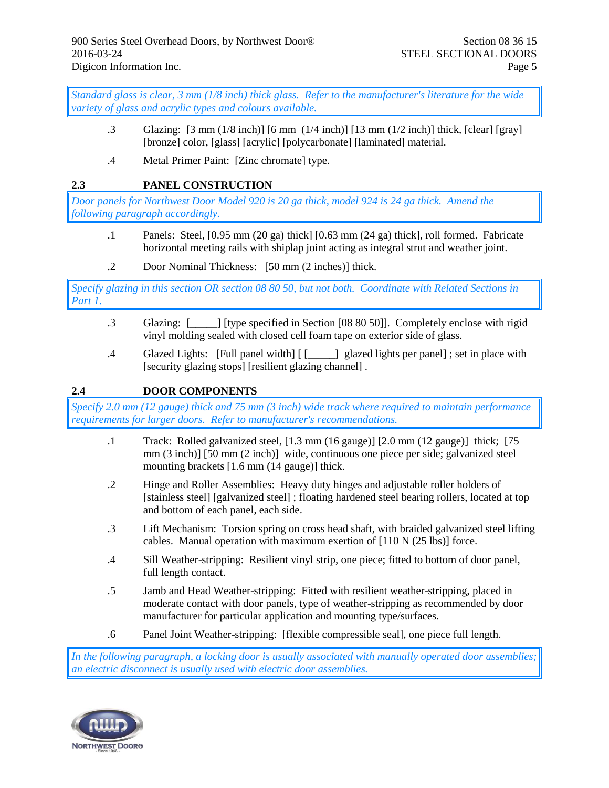*Standard glass is clear, 3 mm (1/8 inch) thick glass. Refer to the manufacturer's literature for the wide variety of glass and acrylic types and colours available.*

- .3 Glazing: [3 mm (1/8 inch)] [6 mm (1/4 inch)] [13 mm (1/2 inch)] thick, [clear] [gray] [bronze] color, [glass] [acrylic] [polycarbonate] [laminated] material.
- .4 Metal Primer Paint: [Zinc chromate] type.

## **2.3 PANEL CONSTRUCTION**

*Door panels for Northwest Door Model 920 is 20 ga thick, model 924 is 24 ga thick. Amend the following paragraph accordingly.*

- .1 Panels: Steel, [0.95 mm (20 ga) thick] [0.63 mm (24 ga) thick], roll formed. Fabricate horizontal meeting rails with shiplap joint acting as integral strut and weather joint.
- .2 Door Nominal Thickness: [50 mm (2 inches)] thick.

*Specify glazing in this section OR section 08 80 50, but not both. Coordinate with Related Sections in Part 1.*

- .3 Glazing: [\_\_\_\_\_] [type specified in Section [08 80 50]]. Completely enclose with rigid vinyl molding sealed with closed cell foam tape on exterior side of glass.
- .4 Glazed Lights: [Full panel width] [ [\_\_\_\_\_] glazed lights per panel] ; set in place with [security glazing stops] [resilient glazing channel] .

## **2.4 DOOR COMPONENTS**

*Specify 2.0 mm (12 gauge) thick and 75 mm (3 inch) wide track where required to maintain performance requirements for larger doors. Refer to manufacturer's recommendations.* 

- .1 Track: Rolled galvanized steel, [1.3 mm (16 gauge)] [2.0 mm (12 gauge)] thick; [75 mm (3 inch)] [50 mm (2 inch)] wide, continuous one piece per side; galvanized steel mounting brackets [1.6 mm (14 gauge)] thick.
- .2 Hinge and Roller Assemblies: Heavy duty hinges and adjustable roller holders of [stainless steel] [galvanized steel] ; floating hardened steel bearing rollers, located at top and bottom of each panel, each side.
- .3 Lift Mechanism: Torsion spring on cross head shaft, with braided galvanized steel lifting cables. Manual operation with maximum exertion of [110 N (25 lbs)] force.
- .4 Sill Weather-stripping: Resilient vinyl strip, one piece; fitted to bottom of door panel, full length contact.
- .5 Jamb and Head Weather-stripping: Fitted with resilient weather-stripping, placed in moderate contact with door panels, type of weather-stripping as recommended by door manufacturer for particular application and mounting type/surfaces.
- .6 Panel Joint Weather-stripping: [flexible compressible seal], one piece full length.

*In the following paragraph, a locking door is usually associated with manually operated door assemblies; an electric disconnect is usually used with electric door assemblies.*

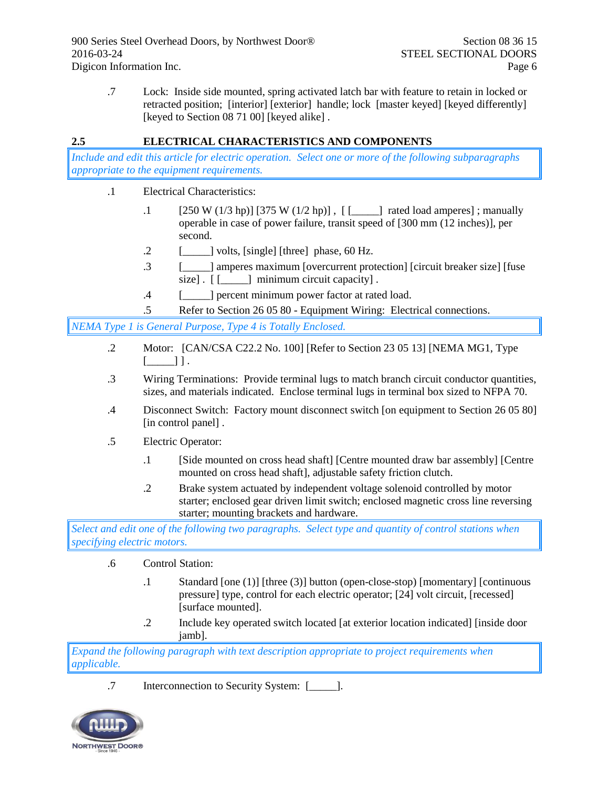.7 Lock: Inside side mounted, spring activated latch bar with feature to retain in locked or retracted position; [interior] [exterior] handle; lock [master keyed] [keyed differently] [keyed to Section 08 71 00] [keyed alike].

# **2.5 ELECTRICAL CHARACTERISTICS AND COMPONENTS**

*Include and edit this article for electric operation. Select one or more of the following subparagraphs appropriate to the equipment requirements.*

- .1 Electrical Characteristics:
	- .1 [250 W (1/3 hp)] [375 W (1/2 hp)] , [ [\_\_\_\_\_] rated load amperes] ; manually operable in case of power failure, transit speed of [300 mm (12 inches)], per second.
	- $\lbrack 2 \rbrack$  [\_\_\_\_\_] volts, [single] [three] phase, 60 Hz.
	- .3 [\_\_\_\_\_] amperes maximum [overcurrent protection] [circuit breaker size] [fuse size].  $\begin{bmatrix} \end{bmatrix}$  minimum circuit capacity].
	- .4 [\_\_\_\_\_] percent minimum power factor at rated load.
	- .5 Refer to Section 26 05 80 Equipment Wiring: Electrical connections.

*NEMA Type 1 is General Purpose, Type 4 is Totally Enclosed.*

- .2 Motor: [CAN/CSA C22.2 No. 100] [Refer to Section 23 05 13] [NEMA MG1, Type  $[\underline{\hspace{1cm}}]$  ]  $]$ .
- .3 Wiring Terminations: Provide terminal lugs to match branch circuit conductor quantities, sizes, and materials indicated. Enclose terminal lugs in terminal box sized to NFPA 70.
- .4 Disconnect Switch: Factory mount disconnect switch [on equipment to Section 26 05 80] [in control panel].
- .5 Electric Operator:
	- .1 [Side mounted on cross head shaft] [Centre mounted draw bar assembly] [Centre mounted on cross head shaft], adjustable safety friction clutch.
	- .2 Brake system actuated by independent voltage solenoid controlled by motor starter; enclosed gear driven limit switch; enclosed magnetic cross line reversing starter; mounting brackets and hardware.

*Select and edit one of the following two paragraphs. Select type and quantity of control stations when specifying electric motors.*

- .6 Control Station:
	- .1 Standard [one (1)] [three (3)] button (open-close-stop) [momentary] [continuous pressure] type, control for each electric operator; [24] volt circuit, [recessed] [surface mounted].
	- .2 Include key operated switch located [at exterior location indicated] [inside door jamb].

*Expand the following paragraph with text description appropriate to project requirements when applicable.*

.7 Interconnection to Security System: [\_\_\_\_\_].

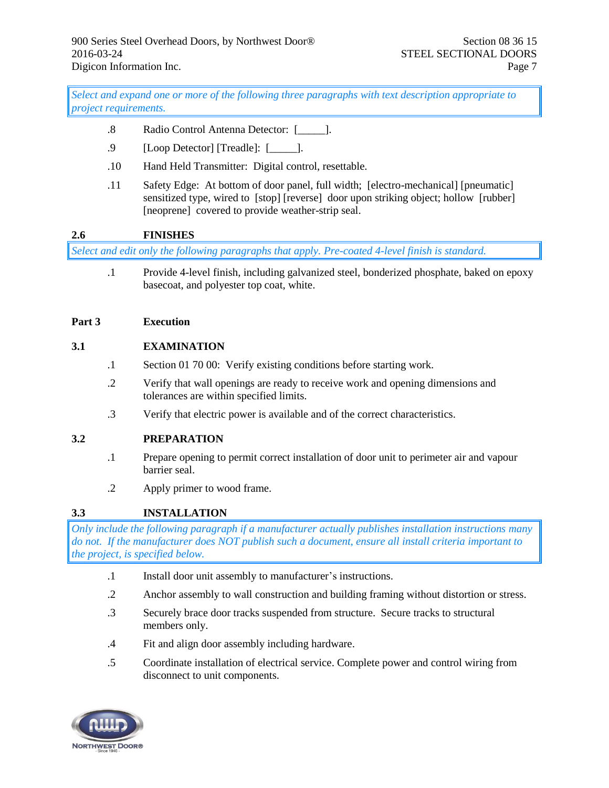*Select and expand one or more of the following three paragraphs with text description appropriate to project requirements.*

- .8 Radio Control Antenna Detector: [\_\_\_\_\_].
- .9 [Loop Detector] [Treadle]: [\_\_\_\_\_].
- .10 Hand Held Transmitter: Digital control, resettable.
- .11 Safety Edge: At bottom of door panel, full width; [electro-mechanical] [pneumatic] sensitized type, wired to [stop] [reverse] door upon striking object; hollow [rubber] [neoprene] covered to provide weather-strip seal.

## **2.6 FINISHES**

*Select and edit only the following paragraphs that apply. Pre-coated 4-level finish is standard.*

.1 Provide 4-level finish, including galvanized steel, bonderized phosphate, baked on epoxy basecoat, and polyester top coat, white.

#### **Part 3 Execution**

#### **3.1 EXAMINATION**

- .1 Section 01 70 00: Verify existing conditions before starting work.
- .2 Verify that wall openings are ready to receive work and opening dimensions and tolerances are within specified limits.
- .3 Verify that electric power is available and of the correct characteristics.

## **3.2 PREPARATION**

- .1 Prepare opening to permit correct installation of door unit to perimeter air and vapour barrier seal.
- .2 Apply primer to wood frame.

## **3.3 INSTALLATION**

*Only include the following paragraph if a manufacturer actually publishes installation instructions many do not. If the manufacturer does NOT publish such a document, ensure all install criteria important to the project, is specified below.*

- .1 Install door unit assembly to manufacturer's instructions.
- .2 Anchor assembly to wall construction and building framing without distortion or stress.
- .3 Securely brace door tracks suspended from structure. Secure tracks to structural members only.
- .4 Fit and align door assembly including hardware.
- .5 Coordinate installation of electrical service. Complete power and control wiring from disconnect to unit components.